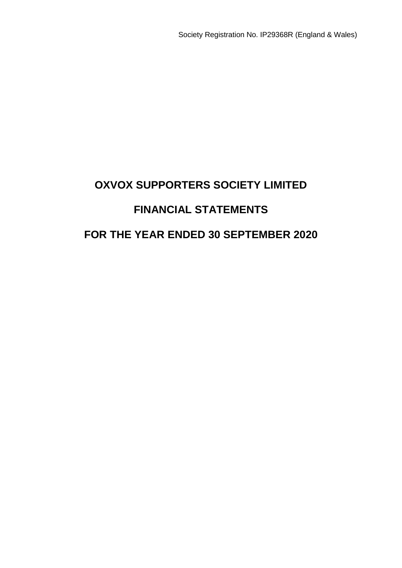# **OXVOX SUPPORTERS SOCIETY LIMITED FINANCIAL STATEMENTS FOR THE YEAR ENDED 30 SEPTEMBER 2020**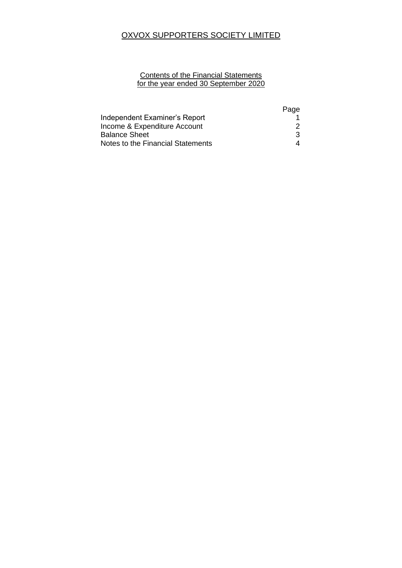# OXVOX SUPPORTERS SOCIETY LIMITED

## **Contents of the Financial Statements** for the year ended 30 September 2020

|                                   | Page |
|-----------------------------------|------|
| Independent Examiner's Report     |      |
| Income & Expenditure Account      |      |
| <b>Balance Sheet</b>              | 3    |
| Notes to the Financial Statements |      |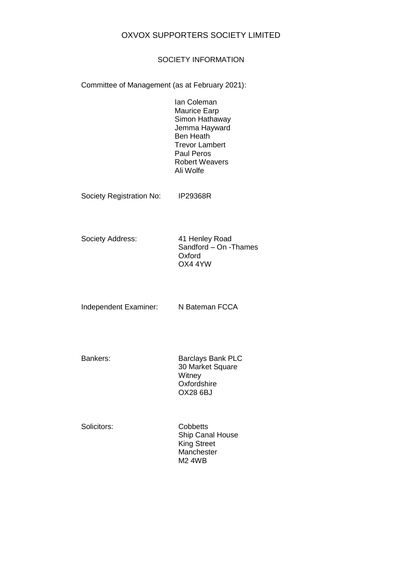## OXVOX SUPPORTERS SOCIETY LIMITED

## SOCIETY INFORMATION

Committee of Management (as at February 2021):

Ian Coleman Maurice Earp Simon Hathaway Jemma Hayward Ben Heath Trevor Lambert Paul Peros Robert Weavers Ali Wolfe

Society Registration No: IP29368R

Society Address: 41 Henley Road

Sandford – On -Thames Oxford OX4 4YW

Independent Examiner: N Bateman FCCA

Bankers: Barclays Bank PLC 30 Market Square **Witney Oxfordshire** OX28 6BJ

Solicitors: Cobbetts Ship Canal House King Street **Manchester** M2 4WB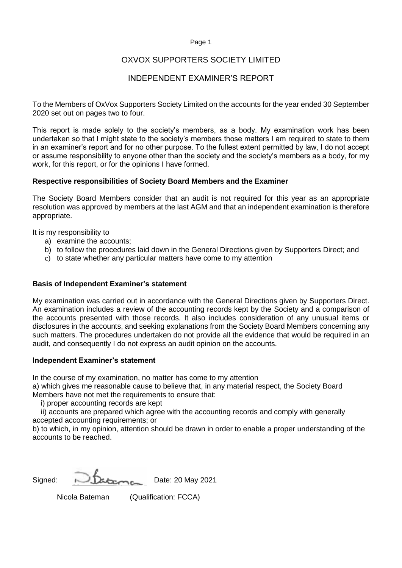## OXVOX SUPPORTERS SOCIETY LIMITED

# INDEPENDENT EXAMINER'S REPORT

To the Members of OxVox Supporters Society Limited on the accounts for the year ended 30 September 2020 set out on pages two to four.

This report is made solely to the society's members, as a body. My examination work has been undertaken so that I might state to the society's members those matters I am required to state to them in an examiner's report and for no other purpose. To the fullest extent permitted by law, I do not accept or assume responsibility to anyone other than the society and the society's members as a body, for my work, for this report, or for the opinions I have formed.

## **Respective responsibilities of Society Board Members and the Examiner**

The Society Board Members consider that an audit is not required for this year as an appropriate resolution was approved by members at the last AGM and that an independent examination is therefore appropriate.

It is my responsibility to

- a) examine the accounts;
- b) to follow the procedures laid down in the General Directions given by Supporters Direct; and
- c) to state whether any particular matters have come to my attention

## **Basis of Independent Examiner's statement**

My examination was carried out in accordance with the General Directions given by Supporters Direct. An examination includes a review of the accounting records kept by the Society and a comparison of the accounts presented with those records. It also includes consideration of any unusual items or disclosures in the accounts, and seeking explanations from the Society Board Members concerning any such matters. The procedures undertaken do not provide all the evidence that would be required in an audit, and consequently I do not express an audit opinion on the accounts.

### **Independent Examiner's statement**

In the course of my examination, no matter has come to my attention

a) which gives me reasonable cause to believe that, in any material respect, the Society Board Members have not met the requirements to ensure that:

i) proper accounting records are kept

 ii) accounts are prepared which agree with the accounting records and comply with generally accepted accounting requirements; or

b) to which, in my opinion, attention should be drawn in order to enable a proper understanding of the accounts to be reached.

Signed: **Determine** Date: 20 May 2021

Nicola Bateman (Qualification: FCCA)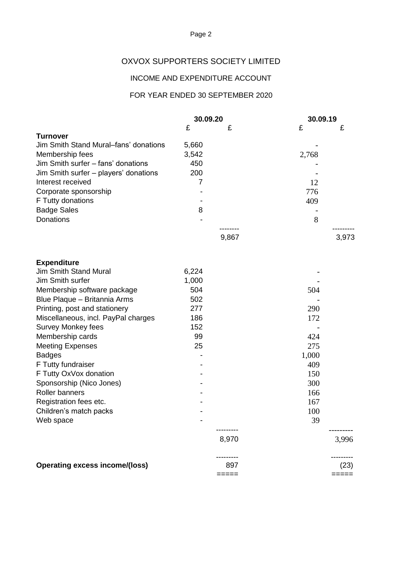# OXVOX SUPPORTERS SOCIETY LIMITED

# INCOME AND EXPENDITURE ACCOUNT

# FOR YEAR ENDED 30 SEPTEMBER 2020

|                                                  | 30.09.20 |       | 30.09.19  |       |
|--------------------------------------------------|----------|-------|-----------|-------|
|                                                  | £        | £     | £         | £     |
| <b>Turnover</b>                                  |          |       |           |       |
| Jim Smith Stand Mural–fans' donations            | 5,660    |       |           |       |
| Membership fees                                  | 3,542    |       | 2,768     |       |
| Jim Smith surfer - fans' donations               | 450      |       |           |       |
| Jim Smith surfer - players' donations            | 200      |       |           |       |
| Interest received                                | 7        |       | 12        |       |
| Corporate sponsorship                            |          |       | 776       |       |
| F Tutty donations                                |          |       | 409       |       |
| <b>Badge Sales</b>                               | 8        |       |           |       |
| Donations                                        |          |       | 8         |       |
|                                                  |          |       |           |       |
|                                                  |          | 9,867 |           | 3,973 |
| <b>Expenditure</b>                               |          |       |           |       |
| <b>Jim Smith Stand Mural</b>                     | 6,224    |       |           |       |
| Jim Smith surfer                                 | 1,000    |       |           |       |
| Membership software package                      | 504      |       | 504       |       |
| Blue Plaque - Britannia Arms                     | 502      |       |           |       |
| Printing, post and stationery                    | 277      |       | 290       |       |
| Miscellaneous, incl. PayPal charges              | 186      |       | 172       |       |
| <b>Survey Monkey fees</b>                        | 152      |       |           |       |
| Membership cards                                 | 99       |       | 424       |       |
| <b>Meeting Expenses</b>                          | 25       |       | 275       |       |
| <b>Badges</b>                                    |          |       | 1,000     |       |
| F Tutty fundraiser                               |          |       | 409       |       |
| F Tutty OxVox donation                           |          |       | 150       |       |
| Sponsorship (Nico Jones)                         |          |       | 300       |       |
| Roller banners                                   |          |       | 166       |       |
|                                                  |          |       | 167       |       |
| Registration fees etc.<br>Children's match packs |          |       |           |       |
|                                                  |          |       | 100<br>39 |       |
| Web space                                        |          |       |           |       |
|                                                  |          | 8,970 |           | 3,996 |
| <b>Operating excess income/(loss)</b>            |          | 897   |           | (23)  |
|                                                  |          | ===== |           | ===== |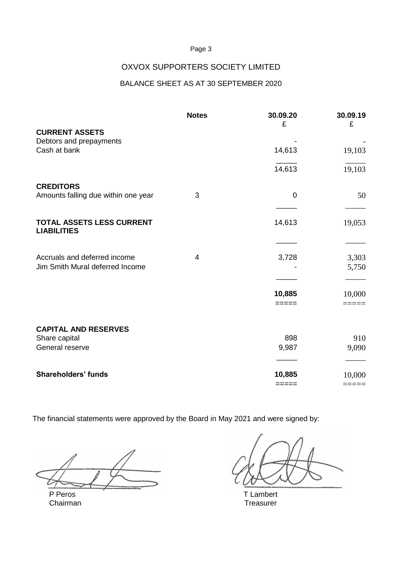# OXVOX SUPPORTERS SOCIETY LIMITED

# BALANCE SHEET AS AT 30 SEPTEMBER 2020

|                                                                 | <b>Notes</b> | 30.09.20<br>£   | 30.09.19<br>£  |
|-----------------------------------------------------------------|--------------|-----------------|----------------|
| <b>CURRENT ASSETS</b><br>Debtors and prepayments                |              |                 |                |
| Cash at bank                                                    |              | 14,613          | 19,103         |
|                                                                 |              | 14,613          | 19,103         |
| <b>CREDITORS</b><br>Amounts falling due within one year         | 3            | $\mathbf 0$     | 50             |
| <b>TOTAL ASSETS LESS CURRENT</b><br><b>LIABILITIES</b>          |              | 14,613          | 19,053         |
| Accruals and deferred income<br>Jim Smith Mural deferred Income | 4            | 3,728           | 3,303<br>5,750 |
|                                                                 |              | 10,885<br>===== | 10,000         |
| <b>CAPITAL AND RESERVES</b><br>Share capital                    |              | 898             | 910            |
| General reserve                                                 |              | 9,987           | 9,090          |
| <b>Shareholders' funds</b>                                      |              | 10,885          | 10,000         |
|                                                                 |              | $=====$         |                |

The financial statements were approved by the Board in May 2021 and were signed by:

P Peros T Lambert Chairman Treasurer